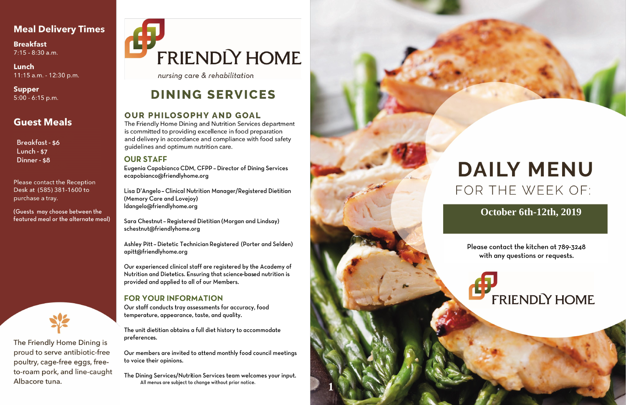# **Meal Delivery Times**

**Breakfast**  $7:15 - 8:30$  a.m.

Lunch 11:15 a.m. - 12:30 p.m.

**Supper**  $5:00 - 6:15$  p.m.

# **Guest Meals**

**Breakfast - \$6 Lunch - \$7** Dinner - \$8

Please contact the Reception Desk at (585) 381-1600 to purchase a tray.

(Guests may choose between the featured meal or the alternate meal)



The Friendly Home Dining is proud to serve antibiotic-free poultry, cage-free eggs, freeto-roam pork, and line-caught Albacore tuna.

# **FRIENDLY HOME**

nursing care & rehabilitation

# **DINING SERVICES**

# **OUR PHILOSOPHY AND GOAL**

The Friendly Home Dining and Nutrition Services department is committed to providing excellence in food preparation and delivery in accordance and compliance with food safety quidelines and optimum nutrition care.

## **OUR STAFF**

Eugenia Capobianco CDM, CFPP - Director of Dining Services ecapobianco@friendlyhome.org

Lisa D'Angelo - Clinical Nutrition Manager/Registered Dietitian (Memory Care and Lovejoy) ldangelo@friendlyhome.org

Sara Chestnut - Registered Dietitian (Morgan and Lindsay) schestnut@friendlyhome.org

Ashley Pitt - Dietetic Technician Registered (Porter and Selden) apitt@friendlyhome.org

Our experienced clinical staff are registered by the Academy of Nutrition and Dietetics. Ensuring that science-based nutrition is provided and applied to all of our Members.

# **FOR YOUR INFORMATION**

Our staff conducts tray assessments for accuracy, food temperature, appearance, taste, and quality.

The unit dietitian obtains a full diet history to accommodate preferences.

Our members are invited to attend monthly food council meetings to voice their opinions.

The Dining Services/Nutrition Services team welcomes your input. All menus are subject to change without prior notice.